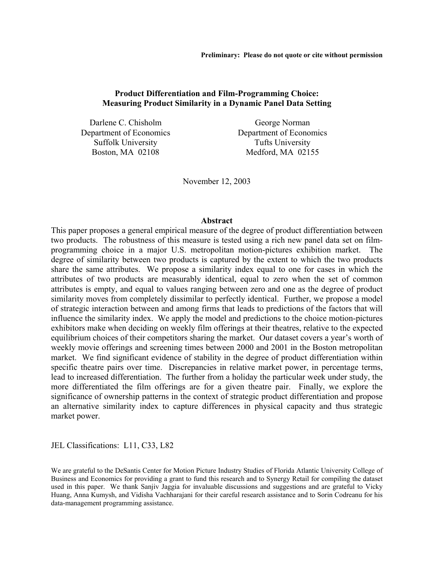# **Product Differentiation and Film-Programming Choice: Measuring Product Similarity in a Dynamic Panel Data Setting**

Darlene C. Chisholm Department of Economics Suffolk University Boston, MA 02108

George Norman Department of Economics Tufts University Medford, MA 02155

November 12, 2003

#### **Abstract**

This paper proposes a general empirical measure of the degree of product differentiation between two products. The robustness of this measure is tested using a rich new panel data set on filmprogramming choice in a major U.S. metropolitan motion-pictures exhibition market. The degree of similarity between two products is captured by the extent to which the two products share the same attributes. We propose a similarity index equal to one for cases in which the attributes of two products are measurably identical, equal to zero when the set of common attributes is empty, and equal to values ranging between zero and one as the degree of product similarity moves from completely dissimilar to perfectly identical. Further, we propose a model of strategic interaction between and among firms that leads to predictions of the factors that will influence the similarity index. We apply the model and predictions to the choice motion-pictures exhibitors make when deciding on weekly film offerings at their theatres, relative to the expected equilibrium choices of their competitors sharing the market. Our dataset covers a year's worth of weekly movie offerings and screening times between 2000 and 2001 in the Boston metropolitan market. We find significant evidence of stability in the degree of product differentiation within specific theatre pairs over time. Discrepancies in relative market power, in percentage terms, lead to increased differentiation. The further from a holiday the particular week under study, the more differentiated the film offerings are for a given theatre pair. Finally, we explore the significance of ownership patterns in the context of strategic product differentiation and propose an alternative similarity index to capture differences in physical capacity and thus strategic market power.

JEL Classifications: L11, C33, L82

We are grateful to the DeSantis Center for Motion Picture Industry Studies of Florida Atlantic University College of Business and Economics for providing a grant to fund this research and to Synergy Retail for compiling the dataset used in this paper. We thank Sanjiv Jaggia for invaluable discussions and suggestions and are grateful to Vicky Huang, Anna Kumysh, and Vidisha Vachharajani for their careful research assistance and to Sorin Codreanu for his data-management programming assistance.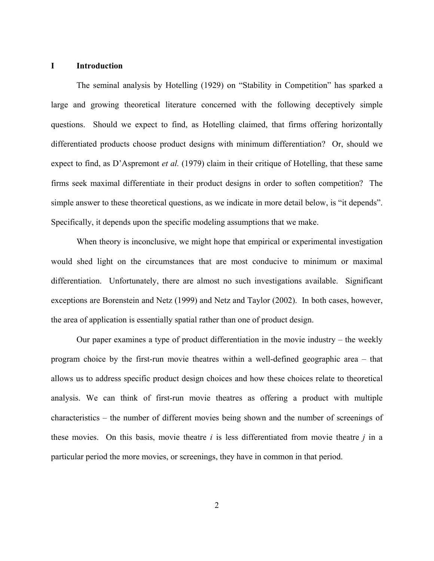#### **I Introduction**

The seminal analysis by Hotelling (1929) on "Stability in Competition" has sparked a large and growing theoretical literature concerned with the following deceptively simple questions. Should we expect to find, as Hotelling claimed, that firms offering horizontally differentiated products choose product designs with minimum differentiation? Or, should we expect to find, as D'Aspremont *et al.* (1979) claim in their critique of Hotelling, that these same firms seek maximal differentiate in their product designs in order to soften competition? The simple answer to these theoretical questions, as we indicate in more detail below, is "it depends". Specifically, it depends upon the specific modeling assumptions that we make.

When theory is inconclusive, we might hope that empirical or experimental investigation would shed light on the circumstances that are most conducive to minimum or maximal differentiation. Unfortunately, there are almost no such investigations available. Significant exceptions are Borenstein and Netz (1999) and Netz and Taylor (2002). In both cases, however, the area of application is essentially spatial rather than one of product design.

Our paper examines a type of product differentiation in the movie industry – the weekly program choice by the first-run movie theatres within a well-defined geographic area – that allows us to address specific product design choices and how these choices relate to theoretical analysis. We can think of first-run movie theatres as offering a product with multiple characteristics – the number of different movies being shown and the number of screenings of these movies. On this basis, movie theatre *i* is less differentiated from movie theatre *j* in a particular period the more movies, or screenings, they have in common in that period.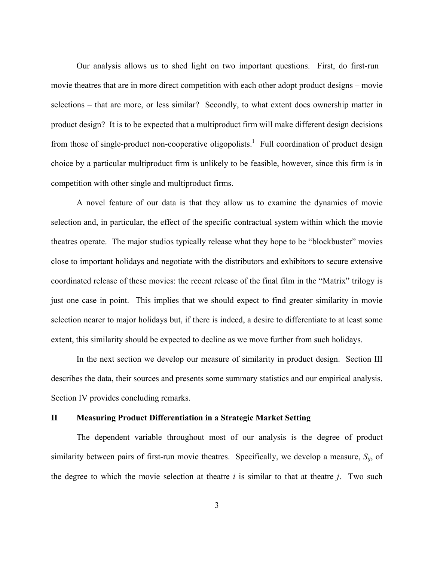Our analysis allows us to shed light on two important questions. First, do first-run movie theatres that are in more direct competition with each other adopt product designs – movie selections – that are more, or less similar? Secondly, to what extent does ownership matter in product design? It is to be expected that a multiproduct firm will make different design decisions from those of single-product non-cooperative oligopolists.<sup>1</sup> Full coordination of product design choice by a particular multiproduct firm is unlikely to be feasible, however, since this firm is in competition with other single and multiproduct firms.

A novel feature of our data is that they allow us to examine the dynamics of movie selection and, in particular, the effect of the specific contractual system within which the movie theatres operate. The major studios typically release what they hope to be "blockbuster" movies close to important holidays and negotiate with the distributors and exhibitors to secure extensive coordinated release of these movies: the recent release of the final film in the "Matrix" trilogy is just one case in point. This implies that we should expect to find greater similarity in movie selection nearer to major holidays but, if there is indeed, a desire to differentiate to at least some extent, this similarity should be expected to decline as we move further from such holidays.

In the next section we develop our measure of similarity in product design. Section III describes the data, their sources and presents some summary statistics and our empirical analysis. Section IV provides concluding remarks.

# **II Measuring Product Differentiation in a Strategic Market Setting**

The dependent variable throughout most of our analysis is the degree of product similarity between pairs of first-run movie theatres. Specifically, we develop a measure,  $S_{ij}$ , of the degree to which the movie selection at theatre *i* is similar to that at theatre *j*. Two such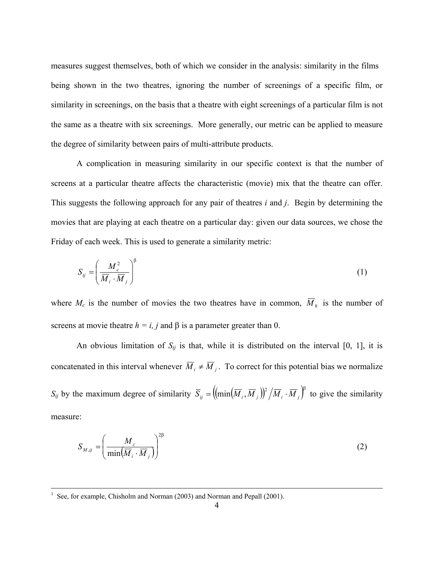measures suggest themselves, both of which we consider in the analysis: similarity in the films being shown in the two theatres, ignoring the number of screenings of a specific film, or similarity in screenings, on the basis that a theatre with eight screenings of a particular film is not the same as a theatre with six screenings. More generally, our metric can be applied to measure the degree of similarity between pairs of multi-attribute products.

 A complication in measuring similarity in our specific context is that the number of screens at a particular theatre affects the characteristic (movie) mix that the theatre can offer. This suggests the following approach for any pair of theatres *i* and *j*. Begin by determining the movies that are playing at each theatre on a particular day: given our data sources, we chose the Friday of each week. This is used to generate a similarity metric:

$$
S_{ij} = \left(\frac{M_c^2}{\overline{M}_i \cdot \overline{M}_j}\right)^{\beta} \tag{1}
$$

where  $M_c$  is the number of movies the two theatres have in common,  $\overline{M}_h$  is the number of screens at movie theatre  $h = i$ , *j* and  $\beta$  is a parameter greater than 0.

An obvious limitation of  $S_{ij}$  is that, while it is distributed on the interval [0, 1], it is concatenated in this interval whenever  $\overline{M}_i \neq \overline{M}_i$ . To correct for this potential bias we normalize *S<sub>ij</sub>* by the maximum degree of similarity  $\overline{S}_{ij} = \left( \left( \min \left( \overline{M}_i, \overline{M}_j \right) \right)^2 / \overline{M}_i \cdot \overline{M}_j \right)^{\beta}$  to give the similarity measure:

$$
S_{M,ij} = \left(\frac{M_c}{\min(\overline{M}_i \cdot \overline{M}_j)}\right)^{2\beta}
$$
 (2)

 $\frac{1}{1}$ <sup>1</sup> See, for example, Chisholm and Norman (2003) and Norman and Pepall (2001).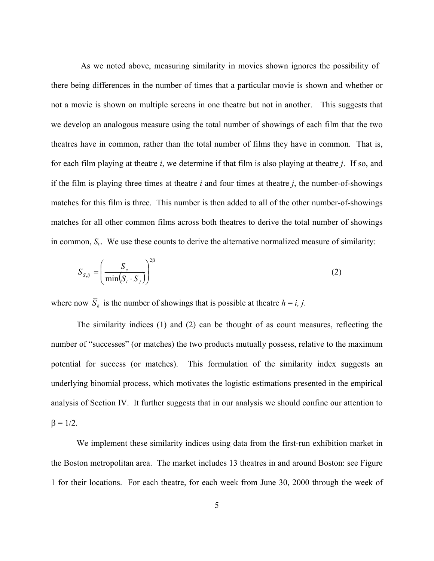As we noted above, measuring similarity in movies shown ignores the possibility of there being differences in the number of times that a particular movie is shown and whether or not a movie is shown on multiple screens in one theatre but not in another. This suggests that we develop an analogous measure using the total number of showings of each film that the two theatres have in common, rather than the total number of films they have in common. That is, for each film playing at theatre *i*, we determine if that film is also playing at theatre *j*. If so, and if the film is playing three times at theatre *i* and four times at theatre *j*, the number-of-showings matches for this film is three. This number is then added to all of the other number-of-showings matches for all other common films across both theatres to derive the total number of showings in common, *S<sub>c</sub>*. We use these counts to derive the alternative normalized measure of similarity:

$$
S_{S,ij} = \left(\frac{S_c}{\min(\overline{S}_i \cdot \overline{S}_j)}\right)^{2\beta}
$$
 (2)

where now  $\overline{S}_h$  is the number of showings that is possible at theatre  $h = i, j$ .

The similarity indices (1) and (2) can be thought of as count measures, reflecting the number of "successes" (or matches) the two products mutually possess, relative to the maximum potential for success (or matches). This formulation of the similarity index suggests an underlying binomial process, which motivates the logistic estimations presented in the empirical analysis of Section IV. It further suggests that in our analysis we should confine our attention to  $β = 1/2$ .

We implement these similarity indices using data from the first-run exhibition market in the Boston metropolitan area. The market includes 13 theatres in and around Boston: see Figure 1 for their locations. For each theatre, for each week from June 30, 2000 through the week of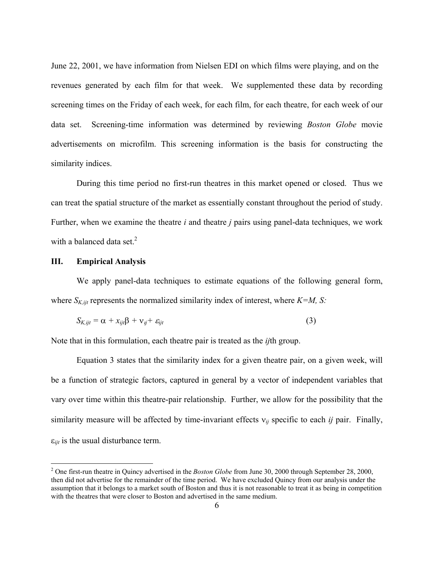June 22, 2001, we have information from Nielsen EDI on which films were playing, and on the revenues generated by each film for that week. We supplemented these data by recording screening times on the Friday of each week, for each film, for each theatre, for each week of our data set. Screening-time information was determined by reviewing *Boston Globe* movie advertisements on microfilm. This screening information is the basis for constructing the similarity indices.

During this time period no first-run theatres in this market opened or closed. Thus we can treat the spatial structure of the market as essentially constant throughout the period of study. Further, when we examine the theatre *i* and theatre *j* pairs using panel-data techniques, we work with a balanced data set. $2$ 

## **III. Empirical Analysis**

We apply panel-data techniques to estimate equations of the following general form, where  $S_{K,ijt}$  represents the normalized similarity index of interest, where  $K=M$ , S:

$$
S_{K,ijt} = \alpha + x_{ijt}\beta + v_{ij} + \varepsilon_{ijt}
$$
\n(3)

Note that in this formulation, each theatre pair is treated as the *ij*th group.

Equation 3 states that the similarity index for a given theatre pair, on a given week, will be a function of strategic factors, captured in general by a vector of independent variables that vary over time within this theatre-pair relationship. Further, we allow for the possibility that the similarity measure will be affected by time-invariant effects ν*ij* specific to each *ij* pair. Finally,  $\varepsilon_{iit}$  is the usual disturbance term.

<sup>&</sup>lt;sup>2</sup> One first-run theatre in Quincy advertised in the *Boston Globe* from June 30, 2000 through September 28, 2000, then did not advertise for the remainder of the time period. We have excluded Quincy from our analysis under the assumption that it belongs to a market south of Boston and thus it is not reasonable to treat it as being in competition with the theatres that were closer to Boston and advertised in the same medium.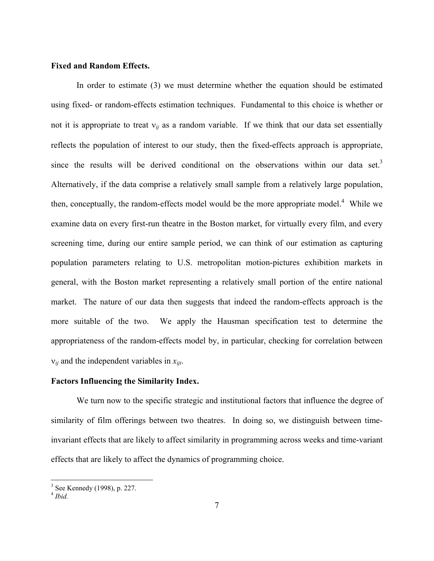### **Fixed and Random Effects.**

In order to estimate (3) we must determine whether the equation should be estimated using fixed- or random-effects estimation techniques. Fundamental to this choice is whether or not it is appropriate to treat  $v_{ij}$  as a random variable. If we think that our data set essentially reflects the population of interest to our study, then the fixed-effects approach is appropriate, since the results will be derived conditional on the observations within our data set.<sup>3</sup> Alternatively, if the data comprise a relatively small sample from a relatively large population, then, conceptually, the random-effects model would be the more appropriate model.<sup>4</sup> While we examine data on every first-run theatre in the Boston market, for virtually every film, and every screening time, during our entire sample period, we can think of our estimation as capturing population parameters relating to U.S. metropolitan motion-pictures exhibition markets in general, with the Boston market representing a relatively small portion of the entire national market. The nature of our data then suggests that indeed the random-effects approach is the more suitable of the two. We apply the Hausman specification test to determine the appropriateness of the random-effects model by, in particular, checking for correlation between ν*ij* and the independent variables in *xijt*.

### **Factors Influencing the Similarity Index.**

We turn now to the specific strategic and institutional factors that influence the degree of similarity of film offerings between two theatres. In doing so, we distinguish between timeinvariant effects that are likely to affect similarity in programming across weeks and time-variant effects that are likely to affect the dynamics of programming choice.

 $\overline{a}$ 

<sup>3</sup> See Kennedy (1998), p. 227.

<sup>4</sup> *Ibid.*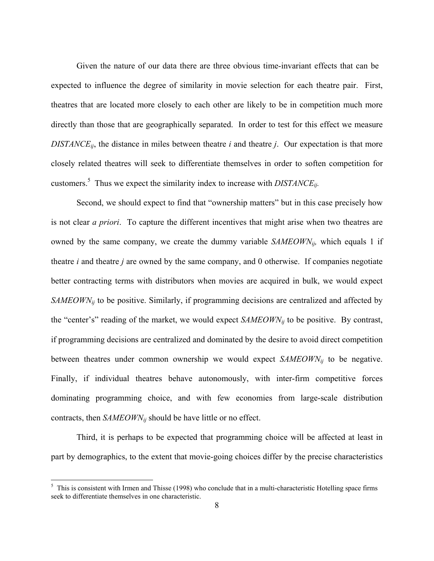Given the nature of our data there are three obvious time-invariant effects that can be expected to influence the degree of similarity in movie selection for each theatre pair. First, theatres that are located more closely to each other are likely to be in competition much more directly than those that are geographically separated. In order to test for this effect we measure *DISTANCEij*, the distance in miles between theatre *i* and theatre *j*. Our expectation is that more closely related theatres will seek to differentiate themselves in order to soften competition for customers.<sup>5</sup> Thus we expect the similarity index to increase with  $DISTANCE_{ij}$ .

Second, we should expect to find that "ownership matters" but in this case precisely how is not clear *a priori*. To capture the different incentives that might arise when two theatres are owned by the same company, we create the dummy variable *SAMEOWNij,* which equals 1 if theatre *i* and theatre *j* are owned by the same company, and 0 otherwise. If companies negotiate better contracting terms with distributors when movies are acquired in bulk, we would expect *SAMEOWN<sub>ij</sub>* to be positive. Similarly, if programming decisions are centralized and affected by the "center's" reading of the market, we would expect *SAMEOWNij* to be positive. By contrast, if programming decisions are centralized and dominated by the desire to avoid direct competition between theatres under common ownership we would expect *SAMEOWNij* to be negative. Finally, if individual theatres behave autonomously, with inter-firm competitive forces dominating programming choice, and with few economies from large-scale distribution contracts, then *SAMEOWNij* should be have little or no effect.

Third, it is perhaps to be expected that programming choice will be affected at least in part by demographics, to the extent that movie-going choices differ by the precise characteristics

1

 $5$  This is consistent with Irmen and Thisse (1998) who conclude that in a multi-characteristic Hotelling space firms seek to differentiate themselves in one characteristic.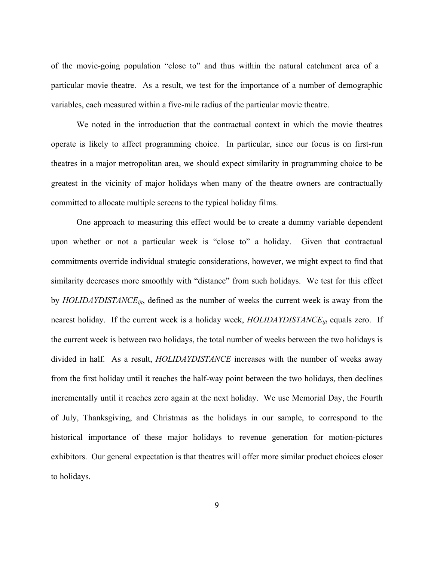of the movie-going population "close to" and thus within the natural catchment area of a particular movie theatre. As a result, we test for the importance of a number of demographic variables, each measured within a five-mile radius of the particular movie theatre.

We noted in the introduction that the contractual context in which the movie theatres operate is likely to affect programming choice. In particular, since our focus is on first-run theatres in a major metropolitan area, we should expect similarity in programming choice to be greatest in the vicinity of major holidays when many of the theatre owners are contractually committed to allocate multiple screens to the typical holiday films.

One approach to measuring this effect would be to create a dummy variable dependent upon whether or not a particular week is "close to" a holiday. Given that contractual commitments override individual strategic considerations, however, we might expect to find that similarity decreases more smoothly with "distance" from such holidays. We test for this effect by *HOLIDAYDISTANCEijt*, defined as the number of weeks the current week is away from the nearest holiday. If the current week is a holiday week, *HOLIDAYDISTANCE<sub>ijt</sub>* equals zero. If the current week is between two holidays, the total number of weeks between the two holidays is divided in half. As a result, *HOLIDAYDISTANCE* increases with the number of weeks away from the first holiday until it reaches the half-way point between the two holidays, then declines incrementally until it reaches zero again at the next holiday. We use Memorial Day, the Fourth of July, Thanksgiving, and Christmas as the holidays in our sample, to correspond to the historical importance of these major holidays to revenue generation for motion-pictures exhibitors. Our general expectation is that theatres will offer more similar product choices closer to holidays.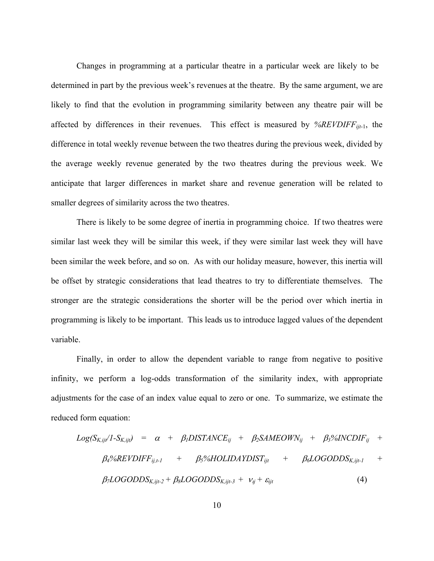Changes in programming at a particular theatre in a particular week are likely to be determined in part by the previous week's revenues at the theatre. By the same argument, we are likely to find that the evolution in programming similarity between any theatre pair will be affected by differences in their revenues. This effect is measured by *%REVDIFFijt*-1, the difference in total weekly revenue between the two theatres during the previous week, divided by the average weekly revenue generated by the two theatres during the previous week. We anticipate that larger differences in market share and revenue generation will be related to smaller degrees of similarity across the two theatres.

There is likely to be some degree of inertia in programming choice. If two theatres were similar last week they will be similar this week, if they were similar last week they will have been similar the week before, and so on. As with our holiday measure, however, this inertia will be offset by strategic considerations that lead theatres to try to differentiate themselves. The stronger are the strategic considerations the shorter will be the period over which inertia in programming is likely to be important. This leads us to introduce lagged values of the dependent variable.

Finally, in order to allow the dependent variable to range from negative to positive infinity, we perform a log-odds transformation of the similarity index, with appropriate adjustments for the case of an index value equal to zero or one. To summarize, we estimate the reduced form equation:

$$
Log(S_{K,ijt}/1-S_{K,ijt}) = \alpha + \beta_1 DISTANCE_{ij} + \beta_2 SAMPLE_{ij} + \beta_3 \% INCDIF_{ij} + \beta_4 \% REVDIFF_{ij,t-1} + \beta_5 \% HOLIDAYDIST_{ijt} + \beta_6 LOGODDS_{K,ijt-1} + \beta_7 LOGODDS_{K,ijt-2} + \beta_8 LOGODDS_{K,ijt-3} + \nu_{ij} + \varepsilon_{ijt}
$$
\n(4)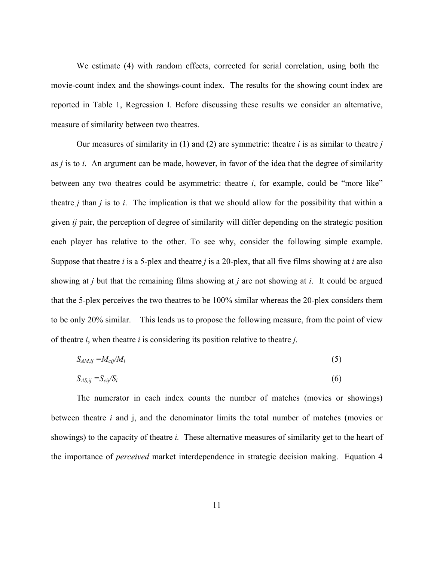We estimate (4) with random effects, corrected for serial correlation, using both the movie-count index and the showings-count index. The results for the showing count index are reported in Table 1, Regression I. Before discussing these results we consider an alternative, measure of similarity between two theatres.

Our measures of similarity in (1) and (2) are symmetric: theatre *i* is as similar to theatre *j* as *j* is to *i*. An argument can be made, however, in favor of the idea that the degree of similarity between any two theatres could be asymmetric: theatre *i*, for example, could be "more like" theatre *j* than *j* is to *i*. The implication is that we should allow for the possibility that within a given *ij* pair, the perception of degree of similarity will differ depending on the strategic position each player has relative to the other. To see why, consider the following simple example. Suppose that theatre *i* is a 5-plex and theatre *j* is a 20-plex, that all five films showing at *i* are also showing at *j* but that the remaining films showing at *j* are not showing at *i*. It could be argued that the 5-plex perceives the two theatres to be 100% similar whereas the 20-plex considers them to be only 20% similar. This leads us to propose the following measure, from the point of view of theatre *i*, when theatre *i* is considering its position relative to theatre *j*.

$$
S_{AM,ij} = M_{\text{cij}}/M_i \tag{5}
$$

$$
S_{AS,ij} = S_{cij}/S_i \tag{6}
$$

The numerator in each index counts the number of matches (movies or showings) between theatre *i* and j, and the denominator limits the total number of matches (movies or showings) to the capacity of theatre *i.* These alternative measures of similarity get to the heart of the importance of *perceived* market interdependence in strategic decision making. Equation 4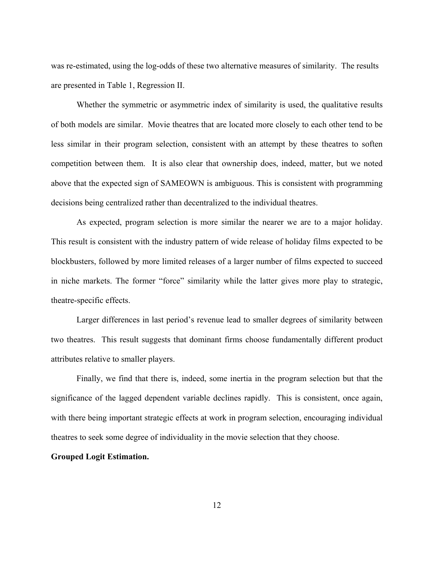was re-estimated, using the log-odds of these two alternative measures of similarity. The results are presented in Table 1, Regression II.

Whether the symmetric or asymmetric index of similarity is used, the qualitative results of both models are similar. Movie theatres that are located more closely to each other tend to be less similar in their program selection, consistent with an attempt by these theatres to soften competition between them. It is also clear that ownership does, indeed, matter, but we noted above that the expected sign of SAMEOWN is ambiguous. This is consistent with programming decisions being centralized rather than decentralized to the individual theatres.

As expected, program selection is more similar the nearer we are to a major holiday. This result is consistent with the industry pattern of wide release of holiday films expected to be blockbusters, followed by more limited releases of a larger number of films expected to succeed in niche markets. The former "force" similarity while the latter gives more play to strategic, theatre-specific effects.

Larger differences in last period's revenue lead to smaller degrees of similarity between two theatres. This result suggests that dominant firms choose fundamentally different product attributes relative to smaller players.

Finally, we find that there is, indeed, some inertia in the program selection but that the significance of the lagged dependent variable declines rapidly. This is consistent, once again, with there being important strategic effects at work in program selection, encouraging individual theatres to seek some degree of individuality in the movie selection that they choose.

#### **Grouped Logit Estimation.**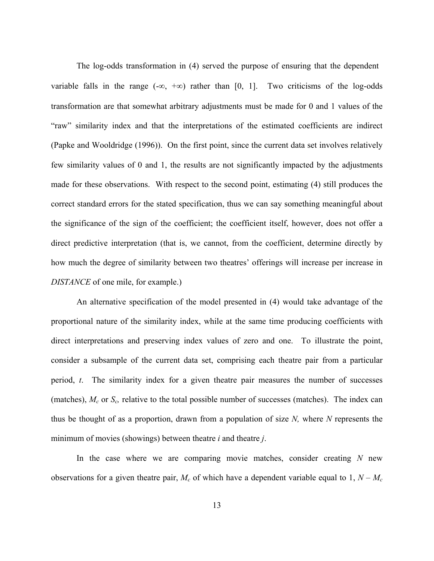The log-odds transformation in (4) served the purpose of ensuring that the dependent variable falls in the range  $(-\infty, +\infty)$  rather than [0, 1]. Two criticisms of the log-odds transformation are that somewhat arbitrary adjustments must be made for 0 and 1 values of the "raw" similarity index and that the interpretations of the estimated coefficients are indirect (Papke and Wooldridge (1996)). On the first point, since the current data set involves relatively few similarity values of 0 and 1, the results are not significantly impacted by the adjustments made for these observations. With respect to the second point, estimating (4) still produces the correct standard errors for the stated specification, thus we can say something meaningful about the significance of the sign of the coefficient; the coefficient itself, however, does not offer a direct predictive interpretation (that is, we cannot, from the coefficient, determine directly by how much the degree of similarity between two theatres' offerings will increase per increase in *DISTANCE* of one mile, for example.)

An alternative specification of the model presented in (4) would take advantage of the proportional nature of the similarity index, while at the same time producing coefficients with direct interpretations and preserving index values of zero and one. To illustrate the point, consider a subsample of the current data set, comprising each theatre pair from a particular period, *t*. The similarity index for a given theatre pair measures the number of successes (matches),  $M_c$  or  $S_c$ , relative to the total possible number of successes (matches). The index can thus be thought of as a proportion, drawn from a population of size *N,* where *N* represents the minimum of movies (showings) between theatre *i* and theatre *j*.

In the case where we are comparing movie matches, consider creating *N* new observations for a given theatre pair,  $M_c$  of which have a dependent variable equal to 1,  $N - M_c$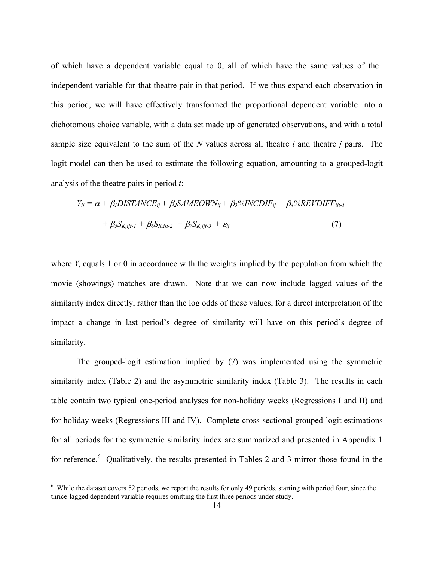of which have a dependent variable equal to 0, all of which have the same values of the independent variable for that theatre pair in that period. If we thus expand each observation in this period, we will have effectively transformed the proportional dependent variable into a dichotomous choice variable, with a data set made up of generated observations, and with a total sample size equivalent to the sum of the *N* values across all theatre *i* and theatre *j* pairs. The logit model can then be used to estimate the following equation, amounting to a grouped-logit analysis of the theatre pairs in period *t*:

$$
Y_{ij} = \alpha + \beta_1 DISTANCE_{ij} + \beta_2 SAMEOWN_{ij} + \beta_3 \% INCDIF_{ij} + \beta_4 \% REVDIFF_{ijl-1}
$$
  
+  $\beta_5 S_{K,ijl-1} + \beta_6 S_{K,ijl-2} + \beta_7 S_{K,ijl-3} + \varepsilon_{ij}$  (7)

where  $Y_i$  equals 1 or 0 in accordance with the weights implied by the population from which the movie (showings) matches are drawn. Note that we can now include lagged values of the similarity index directly, rather than the log odds of these values, for a direct interpretation of the impact a change in last period's degree of similarity will have on this period's degree of similarity.

 The grouped-logit estimation implied by (7) was implemented using the symmetric similarity index (Table 2) and the asymmetric similarity index (Table 3). The results in each table contain two typical one-period analyses for non-holiday weeks (Regressions I and II) and for holiday weeks (Regressions III and IV). Complete cross-sectional grouped-logit estimations for all periods for the symmetric similarity index are summarized and presented in Appendix 1 for reference.<sup>6</sup> Qualitatively, the results presented in Tables 2 and 3 mirror those found in the

1

<sup>&</sup>lt;sup>6</sup> While the dataset covers 52 periods, we report the results for only 49 periods, starting with period four, since the thrice-lagged dependent variable requires omitting the first three periods under study.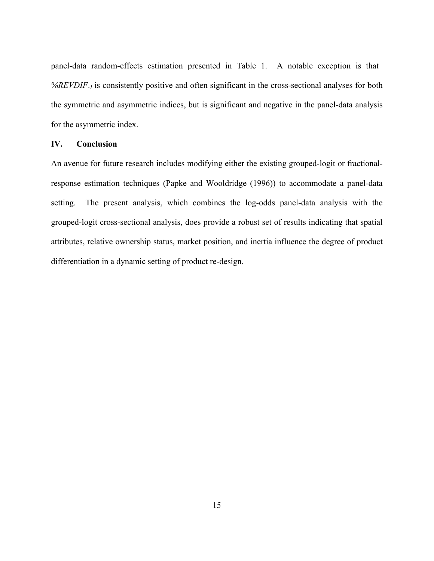panel-data random-effects estimation presented in Table 1. A notable exception is that *%REVDIF-1* is consistently positive and often significant in the cross-sectional analyses for both the symmetric and asymmetric indices, but is significant and negative in the panel-data analysis for the asymmetric index.

### **IV. Conclusion**

An avenue for future research includes modifying either the existing grouped-logit or fractionalresponse estimation techniques (Papke and Wooldridge (1996)) to accommodate a panel-data setting. The present analysis, which combines the log-odds panel-data analysis with the grouped-logit cross-sectional analysis, does provide a robust set of results indicating that spatial attributes, relative ownership status, market position, and inertia influence the degree of product differentiation in a dynamic setting of product re-design.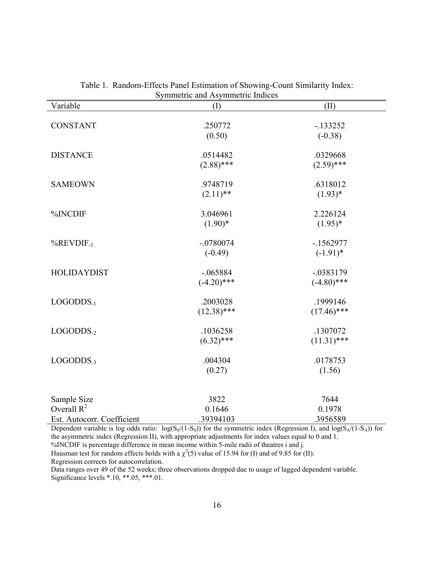| Variable                     | (1)           | (II)           |
|------------------------------|---------------|----------------|
|                              |               |                |
| <b>CONSTANT</b>              | .250772       | $-133252$      |
|                              | (0.50)        | $(-0.38)$      |
| <b>DISTANCE</b>              | .0514482      | .0329668       |
|                              | $(2.88)$ ***  | $(2.59)$ ***   |
| <b>SAMEOWN</b>               | .9748719      | .6318012       |
|                              | $(2.11)$ **   | $(1.93)*$      |
|                              |               |                |
| %INCDIF                      | 3.046961      | 2.226124       |
|                              | $(1.90)*$     | $(1.95)^*$     |
| $%$ REVDIF <sub>-1</sub>     | $-.0780074$   | $-1562977$     |
|                              | $(-0.49)$     | $(-1.91)$ *    |
| <b>HOLIDAYDIST</b>           | $-.065884$    | $-.0383179$    |
|                              | $(-4.20)$ *** | $(-4.80)$ ***  |
|                              |               |                |
| $LOGODDS_{-1}$               | .2003028      | .1999146       |
|                              | $(12.38)$ *** | $(17.46)$ ***  |
| $LOGODDS-2$                  | .1036258      | .1307072       |
|                              | $(6.32)$ ***  | $(11.31)$ ***  |
| $LOGODDS_{-3}$               | .004304       | .0178753       |
|                              | (0.27)        | (1.56)         |
|                              |               |                |
|                              |               |                |
| Sample Size<br>Overall $R^2$ | 3822          | 7644<br>0.1978 |
|                              | 0.1646        |                |
| Est. Autocorr. Coefficient   | .39394103     | .3956589       |

Table 1. Random-Effects Panel Estimation of Showing-Count Similarity Index: Symmetric and Asymmetric Indices

Dependent variable is log odds ratio:  $log(S<sub>s</sub>/(1-S<sub>s</sub>))$  for the symmetric index (Regression I), and  $log(S<sub>A</sub>/(1-S<sub>A</sub>))$  for the asymmetric index (Regression II), with appropriate adjustments for index values equal to 0 and 1. %INCDIF is percentage difference in mean income within 5-mile radii of theatres i and j.

Hausman test for random effects holds with a  $\chi^2(5)$  value of 15.94 for (I) and of 9.85 for (II). Regression corrects for autocorrelation.

Data ranges over 49 of the 52 weeks; three observations dropped due to usage of lagged dependent variable. Significance levels \*.10, \*\*.05, \*\*\*.01.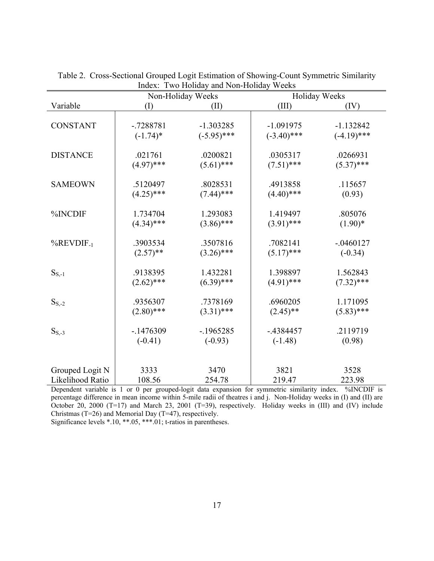|                          |              | $1 \times 0.10$<br>and From Trollan<br>Non-Holiday Weeks | Holiday Weeks |               |  |  |
|--------------------------|--------------|----------------------------------------------------------|---------------|---------------|--|--|
| Variable                 | (1)          | (II)                                                     | (III)         | (IV)          |  |  |
| <b>CONSTANT</b>          | $-0.7288781$ | $-1.303285$                                              | $-1.091975$   | $-1.132842$   |  |  |
|                          | $(-1.74)$ *  | $(-5.95)$ ***                                            | $(-3.40)$ *** | $(-4.19)$ *** |  |  |
| <b>DISTANCE</b>          | .021761      | .0200821                                                 | .0305317      | .0266931      |  |  |
|                          | $(4.97)$ *** | $(5.61)$ ***                                             | $(7.51)$ ***  | $(5.37)$ ***  |  |  |
| <b>SAMEOWN</b>           | .5120497     | .8028531                                                 | .4913858      | .115657       |  |  |
|                          | $(4.25)$ *** | $(7.44)$ ***                                             | $(4.40)$ ***  | (0.93)        |  |  |
| %INCDIF                  | 1.734704     | 1.293083                                                 | 1.419497      | .805076       |  |  |
|                          | $(4.34)$ *** | $(3.86)$ ***                                             | $(3.91)$ ***  | $(1.90)*$     |  |  |
| $%$ REVDIF <sub>-1</sub> | .3903534     | .3507816                                                 | .7082141      | $-.0460127$   |  |  |
|                          | $(2.57)$ **  | $(3.26)$ ***                                             | $(5.17)$ ***  | $(-0.34)$     |  |  |
| $S_{S,-1}$               | .9138395     | 1.432281                                                 | 1.398897      | 1.562843      |  |  |
|                          | $(2.62)$ *** | $(6.39)$ ***                                             | $(4.91)$ ***  | $(7.32)$ ***  |  |  |
| $S_{S, -2}$              | .9356307     | .7378169                                                 | .6960205      | 1.171095      |  |  |
|                          | $(2.80)$ *** | $(3.31)$ ***                                             | $(2.45)$ **   | $(5.83)$ ***  |  |  |
| $S_{S,-3}$               | $-1476309$   | $-1965285$                                               | $-4384457$    | .2119719      |  |  |
|                          | $(-0.41)$    | $(-0.93)$                                                | $(-1.48)$     | (0.98)        |  |  |
| Grouped Logit N          | 3333         | 3470                                                     | 3821          | 3528          |  |  |
| Likelihood Ratio         | 108.56       | 254.78                                                   | 219.47        | 223.98        |  |  |

Table 2. Cross-Sectional Grouped Logit Estimation of Showing-Count Symmetric Similarity Index: Two Holiday and Non-Holiday Weeks

Dependent variable is 1 or 0 per grouped-logit data expansion for symmetric similarity index. %INCDIF is percentage difference in mean income within 5-mile radii of theatres i and j. Non-Holiday weeks in (I) and (II) are October 20, 2000 (T=17) and March 23, 2001 (T=39), respectively. Holiday weeks in  $(III)$  and  $(IV)$  include Christmas (T=26) and Memorial Day (T=47), respectively.

Significance levels \*.10, \*\*.05, \*\*\*.01; t-ratios in parentheses.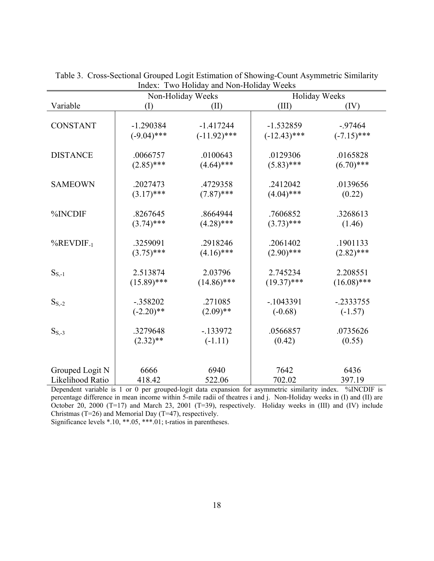|                             |               | mack. Two Honday and Ivon Honday<br>Non-Holiday Weeks | <b>TT COIL</b><br>Holiday Weeks |               |  |  |
|-----------------------------|---------------|-------------------------------------------------------|---------------------------------|---------------|--|--|
| Variable                    | (1)           | (II)                                                  | (III)                           | (IV)          |  |  |
| <b>CONSTANT</b>             | $-1.290384$   | $-1.417244$                                           | $-1.532859$                     | $-97464$      |  |  |
|                             | $(-9.04)$ *** | $(-11.92)$ ***                                        | $(-12.43)$ ***                  | $(-7.15)$ *** |  |  |
| <b>DISTANCE</b>             | .0066757      | .0100643                                              | .0129306                        | .0165828      |  |  |
|                             | $(2.85)$ ***  | $(4.64)$ ***                                          | $(5.83)$ ***                    | $(6.70)$ ***  |  |  |
| <b>SAMEOWN</b>              | .2027473      | .4729358                                              | .2412042                        | .0139656      |  |  |
|                             | $(3.17)$ ***  | $(7.87)$ ***                                          | $(4.04)$ ***                    | (0.22)        |  |  |
| %INCDIF                     | .8267645      | .8664944                                              | .7606852                        | .3268613      |  |  |
|                             | $(3.74)$ ***  | $(4.28)$ ***                                          | $(3.73)$ ***                    | (1.46)        |  |  |
| $%$ REVDIF <sub>-1</sub>    | .3259091      | .2918246                                              | .2061402                        | .1901133      |  |  |
|                             | $(3.75)$ ***  | $(4.16)$ ***                                          | $(2.90)$ ***                    | $(2.82)$ ***  |  |  |
| $\mathbf{S}_{S, \text{-}1}$ | 2.513874      | 2.03796                                               | 2.745234                        | 2.208551      |  |  |
|                             | $(15.89)$ *** | $(14.86)$ ***                                         | $(19.37)$ ***                   | $(16.08)$ *** |  |  |
| $S_{S, -2}$                 | $-.358202$    | .271085                                               | $-1043391$                      | $-.2333755$   |  |  |
|                             | $(-2.20)$ **  | $(2.09)$ **                                           | $(-0.68)$                       | $(-1.57)$     |  |  |
| $S_{S,-3}$                  | .3279648      | $-133972$                                             | .0566857                        | .0735626      |  |  |
|                             | $(2.32)$ **   | $(-1.11)$                                             | (0.42)                          | (0.55)        |  |  |
| Grouped Logit N             | 6666          | 6940                                                  | 7642                            | 6436          |  |  |
| Likelihood Ratio            | 418.42        | 522.06                                                | 702.02                          | 397.19        |  |  |

Table 3. Cross-Sectional Grouped Logit Estimation of Showing-Count Asymmetric Similarity Index: Two Holiday and Non-Holiday Weeks

Dependent variable is 1 or 0 per grouped-logit data expansion for asymmetric similarity index. %INCDIF is percentage difference in mean income within 5-mile radii of theatres i and j. Non-Holiday weeks in (I) and (II) are October 20, 2000 (T=17) and March 23, 2001 (T=39), respectively. Holiday weeks in  $(III)$  and  $(IV)$  include Christmas (T=26) and Memorial Day (T=47), respectively.

Significance levels \*.10, \*\*.05, \*\*\*.01; t-ratios in parentheses.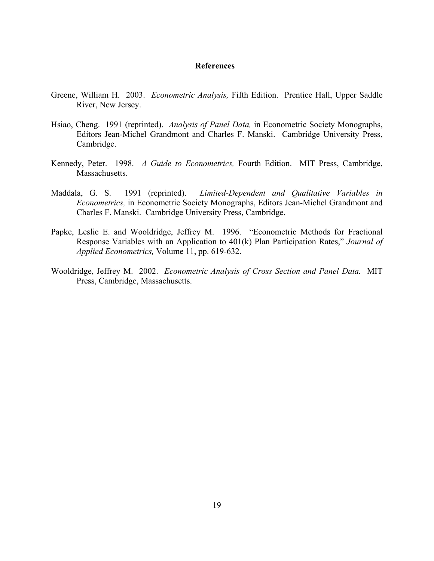#### **References**

- Greene, William H. 2003. *Econometric Analysis,* Fifth Edition. Prentice Hall, Upper Saddle River, New Jersey.
- Hsiao, Cheng. 1991 (reprinted). *Analysis of Panel Data,* in Econometric Society Monographs, Editors Jean-Michel Grandmont and Charles F. Manski. Cambridge University Press, Cambridge.
- Kennedy, Peter. 1998. *A Guide to Econometrics,* Fourth Edition. MIT Press, Cambridge, Massachusetts.
- Maddala, G. S. 1991 (reprinted). *Limited-Dependent and Qualitative Variables in Econometrics,* in Econometric Society Monographs, Editors Jean-Michel Grandmont and Charles F. Manski. Cambridge University Press, Cambridge.
- Papke, Leslie E. and Wooldridge, Jeffrey M. 1996. "Econometric Methods for Fractional Response Variables with an Application to 401(k) Plan Participation Rates," *Journal of Applied Econometrics,* Volume 11, pp. 619-632.
- Wooldridge, Jeffrey M. 2002. *Econometric Analysis of Cross Section and Panel Data.* MIT Press, Cambridge, Massachusetts.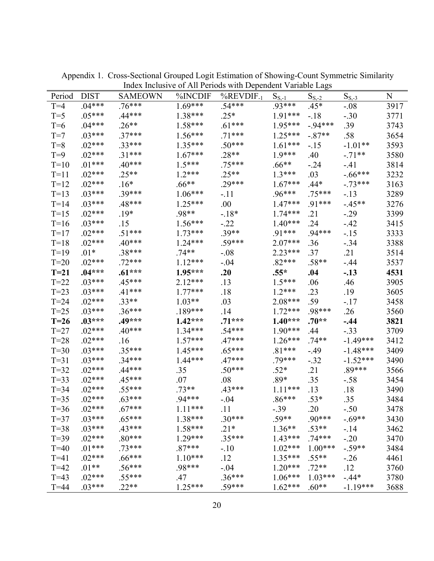| Period | <b>DIST</b> | <b>SAMEOWN</b>      | %INCDIF   | mack merasive of the refoces what Dependent variable Eags<br>$%$ REVDIF <sub>-1</sub> |                     |                       |                   | N    |
|--------|-------------|---------------------|-----------|---------------------------------------------------------------------------------------|---------------------|-----------------------|-------------------|------|
| $T=4$  | $.04***$    | $.76***$            | $1.69***$ | $.54***$                                                                              | $S_{S-1}$<br>.93*** | $S_{S, -2}$<br>$.45*$ | $S_{S,-3}$        | 3917 |
| $T=5$  | $.05***$    | $.44***$            | 1.38***   | $.25*$                                                                                | $1.91***$           | $-18$                 | $-.08$<br>$-.30$  | 3771 |
| $T=6$  | $.04***$    | $.26**$             | $1.58***$ | $.61***$                                                                              | 1.95***             | $-94***$              | .39               | 3743 |
| $T=7$  | $.03***$    | $.37***$            | $1.56***$ | $.71***$                                                                              | $1.25***$           | $-.87**$              | .58               | 3654 |
| $T=8$  | $.02***$    | $.33***$            | $1.35***$ | $.50***$                                                                              | $1.61***$           |                       | $-1.01**$         | 3593 |
| $T=9$  | $.02***$    | $.31***$            | $1.67***$ | $.28**$                                                                               | $1.9***$            | $-15$<br>.40          |                   | 3580 |
| $T=10$ | $.01***$    |                     | $1.5***$  | $.75***$                                                                              |                     |                       | $-.71**$          | 3814 |
| $T=11$ | $.02***$    | $.40***$<br>$.25**$ | $1.2***$  | $.25**$                                                                               | $.66**$<br>$1.3***$ | $-24$<br>.03          | $-41$<br>$-66***$ | 3232 |
| $T=12$ |             |                     |           |                                                                                       |                     |                       |                   |      |
|        | $.02***$    | $.16*$              | $.66**$   | $.29***$                                                                              | $1.67***$           | $.44*$                | $-.73***$         | 3163 |
| $T=13$ | $.03***$    | $.39***$            | $1.06***$ | -.11                                                                                  | $.96***$            | $.75***$              | $-13$             | 3289 |
| $T=14$ | $.03***$    | $.48***$            | $1.25***$ | .00                                                                                   | $1.47***$           | $.91***$              | $-45**$           | 3276 |
| $T=15$ | $.02***$    | $.19*$              | .98**     | $-18*$                                                                                | $1.74***$           | .21                   | $-0.29$           | 3399 |
| $T=16$ | $.03***$    | .15                 | $1.56***$ | $-22$                                                                                 | $1.40***$           | .24                   | $-42$             | 3415 |
| $T=17$ | $.02***$    | $.51***$            | $1.73***$ | $.39**$                                                                               | $.91***$            | $.94***$              | $-15$             | 3333 |
| $T=18$ | $.02***$    | $.40***$            | $1.24***$ | $.59***$                                                                              | $2.07***$           | .36                   | $-0.34$           | 3388 |
| $T=19$ | $.01*$      | .38***              | $.74**$   | $-.08$                                                                                | $2.23***$           | .37                   | .21               | 3514 |
| $T=20$ | $.02***$    | $.72***$            | $1.12***$ | $-.04$                                                                                | $.82***$            | $.58**$               | $-44$             | 3537 |
| $T=21$ | $.04***$    | $.61***$            | $1.95***$ | .20                                                                                   | $.55*$              | .04                   | $-.13$            | 4531 |
| $T=22$ | $.03***$    | .45***              | $2.12***$ | .13                                                                                   | $1.5***$            | .06                   | .46               | 3905 |
| $T=23$ | $.03***$    | $.41***$            | $1.77***$ | .18                                                                                   | $1.2***$            | .23                   | .19               | 3605 |
| $T=24$ | $.02***$    | $.33**$             | $1.03**$  | .03                                                                                   | $2.08***$           | .59                   | $-17$             | 3458 |
| $T=25$ | $.03***$    | $.36***$            | .189***   | .14                                                                                   | $1.72***$           | .98***                | .26               | 3560 |
| $T=26$ | $.03***$    | .49***              | $1.42***$ | $.71***$                                                                              | $1.40***$           | $.70**$               | $-.44$            | 3821 |
| $T=27$ | $.02***$    | $.40***$            | $1.34***$ | $.54***$                                                                              | $1.90***$           | .44                   | $-.33$            | 3709 |
| $T=28$ | $.02***$    | .16                 | $1.57***$ | $.47***$                                                                              | $1.26***$           | $.74**$               | $-1.49***$        | 3412 |
| $T=30$ | $.03***$    | $.35***$            | $1.45***$ | $.65***$                                                                              | $.81***$            | $-49$                 | $-1.48***$        | 3409 |
| $T=31$ | $.03***$    | $.34***$            | 1.44***   | $.47***$                                                                              | $.79***$            | $-.32$                | $-1.52***$        | 3490 |
| $T=32$ | $.02***$    | $.44***$            | .35       | $.50***$                                                                              | $.52*$              | .21                   | $.89***$          | 3566 |
| $T=33$ | $.02***$    | .45***              | .07       | .08                                                                                   | $.89*$              | .35                   | $-.58$            | 3454 |
| $T=34$ | $.02***$    | $.55***$            | $.73**$   | $.43***$                                                                              | $1.11***$           | .13                   | .18               | 3490 |
| $T=35$ | $.02***$    | $.63***$            | $.94***$  | -.04                                                                                  | $.86***$            | $.53*$                | .35               | 3484 |
| $T=36$ | $.02***$    | $.67***$            | $1.11***$ | .11                                                                                   | $-0.39$             | .20                   | $-.50$            | 3478 |
| $T=37$ | $.03***$    | $.65***$            | 1.38***   | $.30***$                                                                              | $.59**$             | $.90***$              | $-.69**$          | 3430 |
| $T=38$ | $.03***$    | $.43***$            | $1.58***$ | $.21*$                                                                                | $1.36**$            | $.53**$               | $-14$             | 3462 |
| $T=39$ | $.02***$    | $.80***$            | $1.29***$ | $.35***$                                                                              | $1.43***$           | $.74***$              | $-.20$            | 3470 |
| $T=40$ | $.01***$    | $.73***$            | $.87***$  | $-.10$                                                                                | $1.02***$           | $1.00***$             | $-.59**$          | 3484 |
| $T=41$ | $.02***$    | $.66***$            | $1.10***$ | .12                                                                                   | $1.35***$           | $.55**$               | $-26$             | 4461 |
| $T=42$ | $.01**$     | $.56***$            | .98***    | $-0.04$                                                                               | $1.20***$           | $.72**$               | .12               | 3760 |
| $T=43$ | $.02***$    | $.55***$            | .47       | $.36***$                                                                              | $1.06***$           | $1.03***$             | $-.44*$           | 3780 |
| $T=44$ | $.03***$    | $.22**$             | $1.25***$ | .59***                                                                                | $1.62***$           | $.60**$               | $-1.19***$        | 3688 |

Appendix 1. Cross-Sectional Grouped Logit Estimation of Showing-Count Symmetric Similarity Index Inclusive of All Periods with Dependent Variable Lags